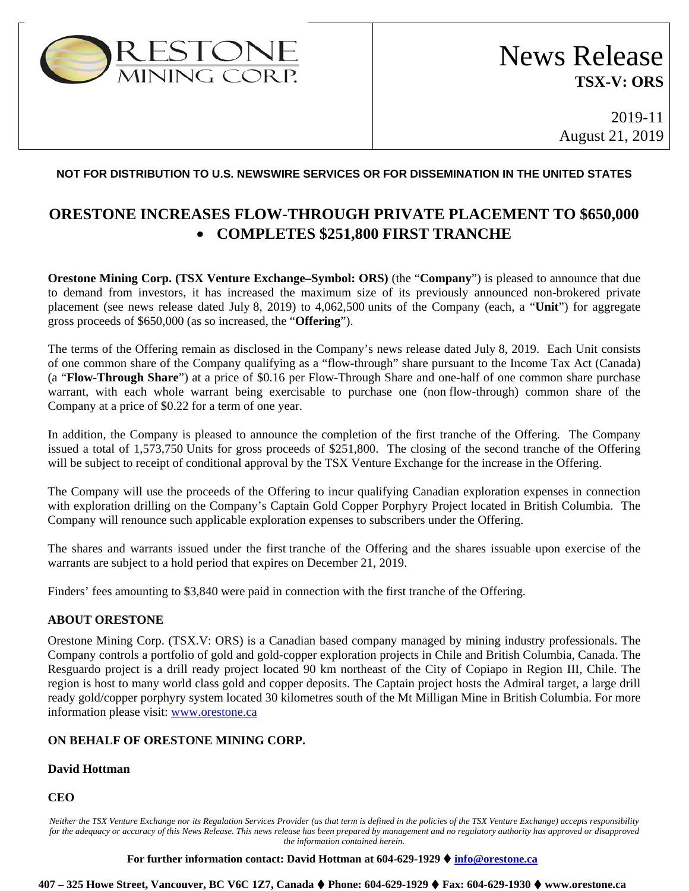

2019-11 August 21, 2019

## **NOT FOR DISTRIBUTION TO U.S. NEWSWIRE SERVICES OR FOR DISSEMINATION IN THE UNITED STATES**

# **ORESTONE INCREASES FLOW-THROUGH PRIVATE PLACEMENT TO \$650,000** • **COMPLETES \$251,800 FIRST TRANCHE**

**Orestone Mining Corp. (TSX Venture Exchange–Symbol: ORS)** (the "**Company**") is pleased to announce that due to demand from investors, it has increased the maximum size of its previously announced non-brokered private placement (see news release dated July 8, 2019) to 4,062,500 units of the Company (each, a "**Unit**") for aggregate gross proceeds of \$650,000 (as so increased, the "**Offering**").

The terms of the Offering remain as disclosed in the Company's news release dated July 8, 2019. Each Unit consists of one common share of the Company qualifying as a "flow-through" share pursuant to the Income Tax Act (Canada) (a "**Flow-Through Share**") at a price of \$0.16 per Flow-Through Share and one-half of one common share purchase warrant, with each whole warrant being exercisable to purchase one (non flow-through) common share of the Company at a price of \$0.22 for a term of one year.

In addition, the Company is pleased to announce the completion of the first tranche of the Offering. The Company issued a total of 1,573,750 Units for gross proceeds of \$251,800. The closing of the second tranche of the Offering will be subject to receipt of conditional approval by the TSX Venture Exchange for the increase in the Offering.

The Company will use the proceeds of the Offering to incur qualifying Canadian exploration expenses in connection with exploration drilling on the Company's Captain Gold Copper Porphyry Project located in British Columbia. The Company will renounce such applicable exploration expenses to subscribers under the Offering.

The shares and warrants issued under the first tranche of the Offering and the shares issuable upon exercise of the warrants are subject to a hold period that expires on December 21, 2019.

Finders' fees amounting to \$3,840 were paid in connection with the first tranche of the Offering.

## **ABOUT ORESTONE**

Orestone Mining Corp. (TSX.V: ORS) is a Canadian based company managed by mining industry professionals. The Company controls a portfolio of gold and gold-copper exploration projects in Chile and British Columbia, Canada. The Resguardo project is a drill ready project located 90 km northeast of the City of Copiapo in Region III, Chile. The region is host to many world class gold and copper deposits. The Captain project hosts the Admiral target, a large drill ready gold/copper porphyry system located 30 kilometres south of the Mt Milligan Mine in British Columbia. For more information please visit: [www.orestone.ca](http://www.orestone.ca/)

## **ON BEHALF OF ORESTONE MINING CORP.**

#### **David Hottman**

#### **CEO**

*Neither the TSX Venture Exchange nor its Regulation Services Provider (as that term is defined in the policies of the TSX Venture Exchange) accepts responsibility for the adequacy or accuracy of this News Release. This news release has been prepared by management and no regulatory authority has approved or disapproved the information contained herein.*

**For further information contact: David Hottman at 604-629-1929 [info@orestone.ca](mailto:info@orestone.ca)**